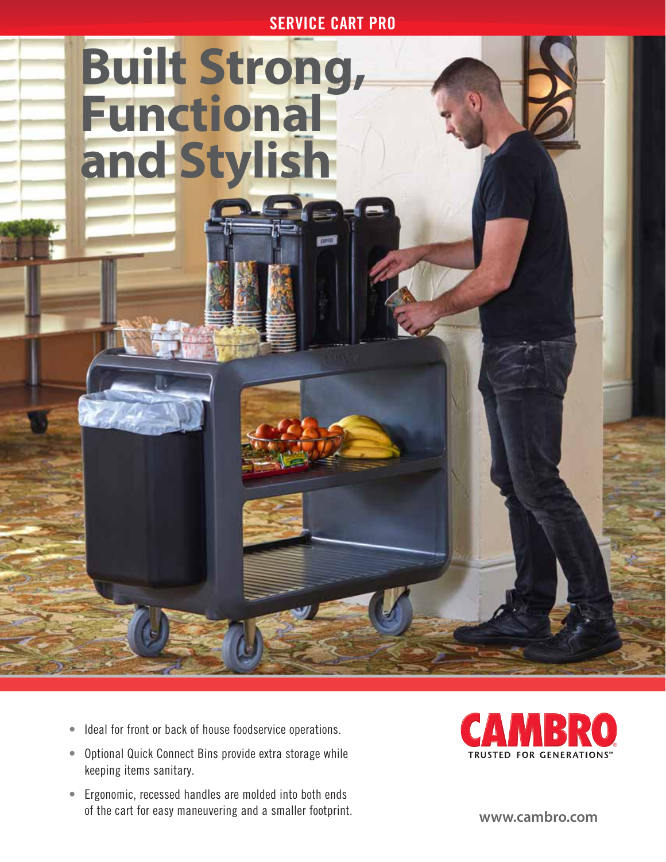SERVICE CART PRO

## **Built Strong, Functional and Stylish**



- Optional Quick Connect Bins provide extra storage while keeping items sanitary.
- Ergonomic, recessed handles are molded into both ends of the cart for easy maneuvering and a smaller footprint.